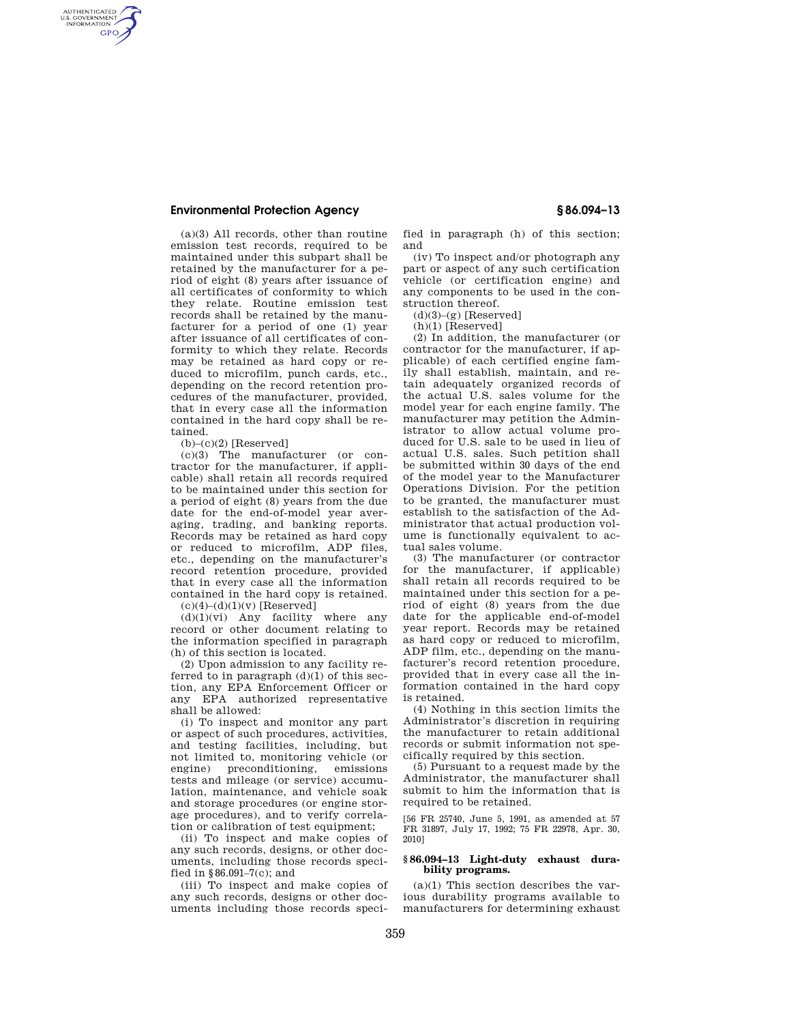AUTHENTICATED<br>U.S. GOVERNMENT<br>INFORMATION **GPO** 

> (a)(3) All records, other than routine emission test records, required to be maintained under this subpart shall be retained by the manufacturer for a period of eight (8) years after issuance of all certificates of conformity to which they relate. Routine emission test records shall be retained by the manufacturer for a period of one (1) year after issuance of all certificates of conformity to which they relate. Records may be retained as hard copy or reduced to microfilm, punch cards, etc., depending on the record retention procedures of the manufacturer, provided, that in every case all the information contained in the hard copy shall be retained.

 $(b)$ – $(c)(2)$  [Reserved]

(c)(3) The manufacturer (or contractor for the manufacturer, if applicable) shall retain all records required to be maintained under this section for a period of eight (8) years from the due date for the end-of-model year averaging, trading, and banking reports. Records may be retained as hard copy or reduced to microfilm, ADP files, etc., depending on the manufacturer's record retention procedure, provided that in every case all the information contained in the hard copy is retained.  $(c)(4)-(d)(1)(v)$  [Reserved]

 $(d)(1)(vi)$  Any facility where any record or other document relating to the information specified in paragraph (h) of this section is located.

(2) Upon admission to any facility referred to in paragraph  $(d)(1)$  of this section, any EPA Enforcement Officer or any EPA authorized representative shall be allowed:

(i) To inspect and monitor any part or aspect of such procedures, activities, and testing facilities, including, but not limited to, monitoring vehicle (or engine) preconditioning, emissions tests and mileage (or service) accumulation, maintenance, and vehicle soak and storage procedures (or engine storage procedures), and to verify correlation or calibration of test equipment;

(ii) To inspect and make copies of any such records, designs, or other documents, including those records specified in §86.091–7(c); and

(iii) To inspect and make copies of any such records, designs or other documents including those records specified in paragraph (h) of this section; and

(iv) To inspect and/or photograph any part or aspect of any such certification vehicle (or certification engine) and any components to be used in the construction thereof.

 $(d)(3)-(g)$  [Reserved]

(h)(1) [Reserved]

(2) In addition, the manufacturer (or contractor for the manufacturer, if applicable) of each certified engine family shall establish, maintain, and retain adequately organized records of the actual U.S. sales volume for the model year for each engine family. The manufacturer may petition the Administrator to allow actual volume produced for U.S. sale to be used in lieu of actual U.S. sales. Such petition shall be submitted within 30 days of the end of the model year to the Manufacturer Operations Division. For the petition to be granted, the manufacturer must establish to the satisfaction of the Administrator that actual production volume is functionally equivalent to actual sales volume.

(3) The manufacturer (or contractor for the manufacturer, if applicable) shall retain all records required to be maintained under this section for a period of eight (8) years from the due date for the applicable end-of-model year report. Records may be retained as hard copy or reduced to microfilm, ADP film, etc., depending on the manufacturer's record retention procedure, provided that in every case all the information contained in the hard copy is retained.

(4) Nothing in this section limits the Administrator's discretion in requiring the manufacturer to retain additional records or submit information not specifically required by this section.

(5) Pursuant to a request made by the Administrator, the manufacturer shall submit to him the information that is required to be retained.

[56 FR 25740, June 5, 1991, as amended at 57 FR 31897, July 17, 1992; 75 FR 22978, Apr. 30, 2010]

#### **§ 86.094–13 Light-duty exhaust durability programs.**

(a)(1) This section describes the various durability programs available to manufacturers for determining exhaust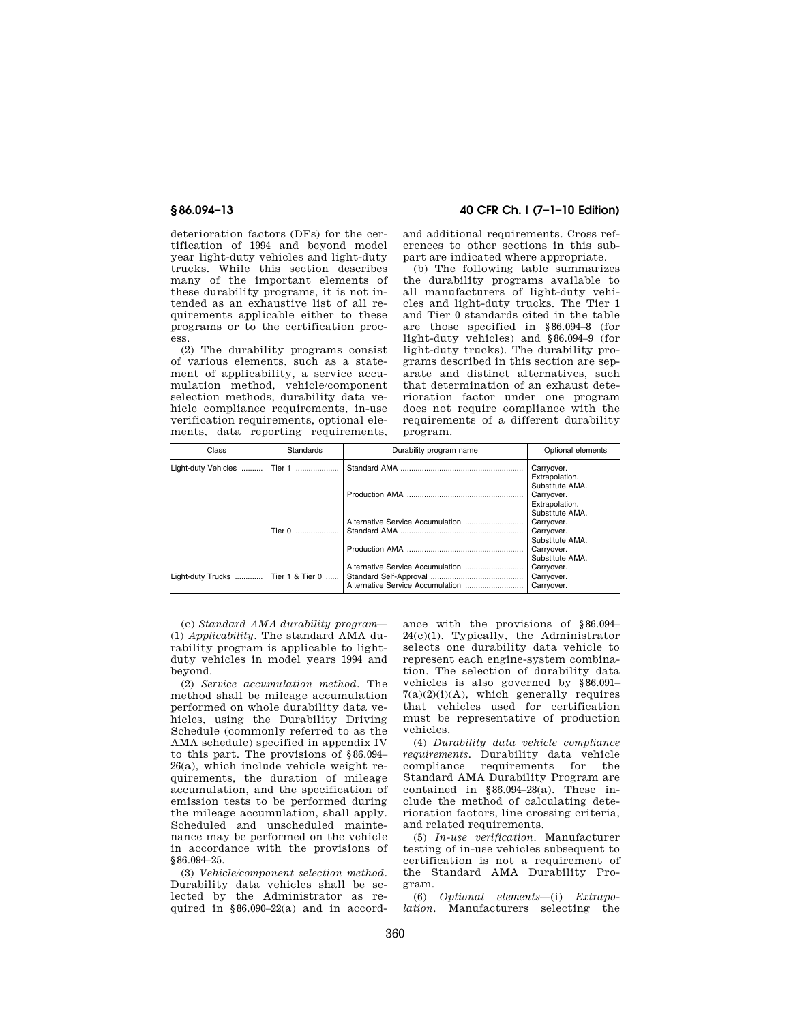deterioration factors (DFs) for the certification of 1994 and beyond model year light-duty vehicles and light-duty trucks. While this section describes many of the important elements of these durability programs, it is not intended as an exhaustive list of all requirements applicable either to these programs or to the certification process.

(2) The durability programs consist of various elements, such as a statement of applicability, a service accumulation method, vehicle/component selection methods, durability data vehicle compliance requirements, in-use verification requirements, optional elements, data reporting requirements,

# **§ 86.094–13 40 CFR Ch. I (7–1–10 Edition)**

and additional requirements. Cross references to other sections in this subpart are indicated where appropriate.

(b) The following table summarizes the durability programs available to all manufacturers of light-duty vehicles and light-duty trucks. The Tier 1 and Tier 0 standards cited in the table are those specified in §86.094–8 (for light-duty vehicles) and §86.094–9 (for light-duty trucks). The durability programs described in this section are separate and distinct alternatives, such that determination of an exhaust deterioration factor under one program does not require compliance with the requirements of a different durability program.

| Class                                | Standards | Durability program name | Optional elements             |
|--------------------------------------|-----------|-------------------------|-------------------------------|
| Light-duty Vehicles                  | Tier 1    |                         | Carryover.                    |
|                                      |           |                         | Extrapolation.                |
|                                      |           |                         | Substitute AMA.<br>Carryover. |
|                                      |           |                         | Extrapolation.                |
|                                      |           |                         | Substitute AMA.               |
|                                      | Tier 0    |                         | Carryover.<br>Carryover.      |
|                                      |           |                         | Substitute AMA.               |
|                                      |           |                         | Carryover.                    |
|                                      |           |                         | Substitute AMA.               |
| Light-duty Trucks    Tier 1 & Tier 0 |           |                         | Carryover.<br>Carryover.      |
|                                      |           |                         | Carryover.                    |

(c) *Standard AMA durability program*— (1) *Applicability.* The standard AMA durability program is applicable to lightduty vehicles in model years 1994 and beyond.

(2) *Service accumulation method.* The method shall be mileage accumulation performed on whole durability data vehicles, using the Durability Driving Schedule (commonly referred to as the AMA schedule) specified in appendix IV to this part. The provisions of §86.094– 26(a), which include vehicle weight requirements, the duration of mileage accumulation, and the specification of emission tests to be performed during the mileage accumulation, shall apply. Scheduled and unscheduled maintenance may be performed on the vehicle in accordance with the provisions of §86.094–25.

(3) *Vehicle/component selection method.*  Durability data vehicles shall be selected by the Administrator as required in §86.090–22(a) and in accordance with the provisions of §86.094– 24(c)(1). Typically, the Administrator selects one durability data vehicle to represent each engine-system combination. The selection of durability data vehicles is also governed by §86.091–  $7(a)(2)(i)(A)$ , which generally requires that vehicles used for certification must be representative of production vehicles.

(4) *Durability data vehicle compliance requirements.* Durability data vehicle compliance requirements for the Standard AMA Durability Program are contained in §86.094–28(a). These include the method of calculating deterioration factors, line crossing criteria, and related requirements.

(5) *In-use verification.* Manufacturer testing of in-use vehicles subsequent to certification is not a requirement of the Standard AMA Durability Program.

(6) *Optional elements*—(i) *Extrapolation.* Manufacturers selecting the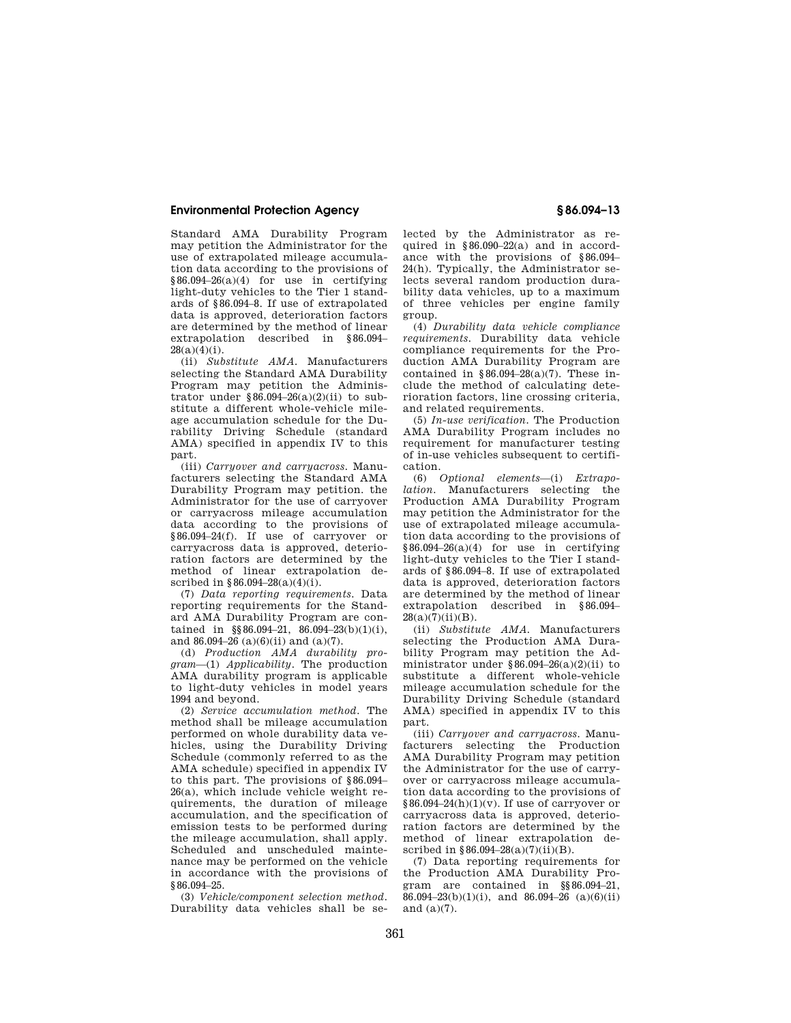Standard AMA Durability Program may petition the Administrator for the use of extrapolated mileage accumulation data according to the provisions of §86.094–26(a)(4) for use in certifying light-duty vehicles to the Tier 1 standards of §86.094–8. If use of extrapolated data is approved, deterioration factors are determined by the method of linear extrapolation described in §86.094–  $28(a)(4)(i)$ .

(ii) *Substitute AMA.* Manufacturers selecting the Standard AMA Durability Program may petition the Administrator under  $\overline{\$86.094-26(a)(2)(ii)}$  to substitute a different whole-vehicle mileage accumulation schedule for the Durability Driving Schedule (standard AMA) specified in appendix IV to this part.

(iii) *Carryover and carryacross.* Manufacturers selecting the Standard AMA Durability Program may petition. the Administrator for the use of carryover or carryacross mileage accumulation data according to the provisions of §86.094–24(f). If use of carryover or carryacross data is approved, deterioration factors are determined by the method of linear extrapolation described in §86.094–28(a)(4)(i).

(7) *Data reporting requirements.* Data reporting requirements for the Standard AMA Durability Program are contained in  $\S 86.094 - 21$ ,  $86.094 - 23(b)(1)(i)$ , and 86.094–26 (a)(6)(ii) and (a)(7).

(d) *Production AMA durability program*—(1) *Applicability.* The production AMA durability program is applicable to light-duty vehicles in model years 1994 and beyond.

(2) *Service accumulation method.* The method shall be mileage accumulation performed on whole durability data vehicles, using the Durability Driving Schedule (commonly referred to as the AMA schedule) specified in appendix IV to this part. The provisions of §86.094– 26(a), which include vehicle weight requirements, the duration of mileage accumulation, and the specification of emission tests to be performed during the mileage accumulation, shall apply. Scheduled and unscheduled maintenance may be performed on the vehicle in accordance with the provisions of §86.094–25.

(3) *Vehicle/component selection method.*  Durability data vehicles shall be selected by the Administrator as required in §86.090–22(a) and in accordance with the provisions of §86.094– 24(h). Typically, the Administrator selects several random production durability data vehicles, up to a maximum of three vehicles per engine family group.

(4) *Durability data vehicle compliance requirements.* Durability data vehicle compliance requirements for the Production AMA Durability Program are contained in  $$86.094-28(a)(7)$ . These include the method of calculating deterioration factors, line crossing criteria, and related requirements.

(5) *In-use verification.* The Production AMA Durability Program includes no requirement for manufacturer testing of in-use vehicles subsequent to certification.

(6) *Optional elements*—(i) *Extrapolation.* Manufacturers selecting the Production AMA Durability Program may petition the Administrator for the use of extrapolated mileage accumulation data according to the provisions of §86.094–26(a)(4) for use in certifying light-duty vehicles to the Tier I standards of §86.094–8. If use of extrapolated data is approved, deterioration factors are determined by the method of linear extrapolation described in §86.094–  $28(a)(7)(ii)(B)$ .

(ii) *Substitute AMA.* Manufacturers selecting the Production AMA Durability Program may petition the Administrator under  $$86.094-26(a)(2)(ii)$  to substitute a different whole-vehicle mileage accumulation schedule for the Durability Driving Schedule (standard AMA) specified in appendix IV to this part.

(iii) *Carryover and carryacross.* Manufacturers selecting the Production AMA Durability Program may petition the Administrator for the use of carryover or carryacross mileage accumulation data according to the provisions of  $§86.094-24(h)(1)(v)$ . If use of carryover or carryacross data is approved, deterioration factors are determined by the method of linear extrapolation described in §86.094–28(a)(7)(ii)(B).

(7) Data reporting requirements for the Production AMA Durability Program are contained in §§86.094–21, 86.094–23(b)(1)(i), and 86.094–26 (a)(6)(ii) and (a)(7).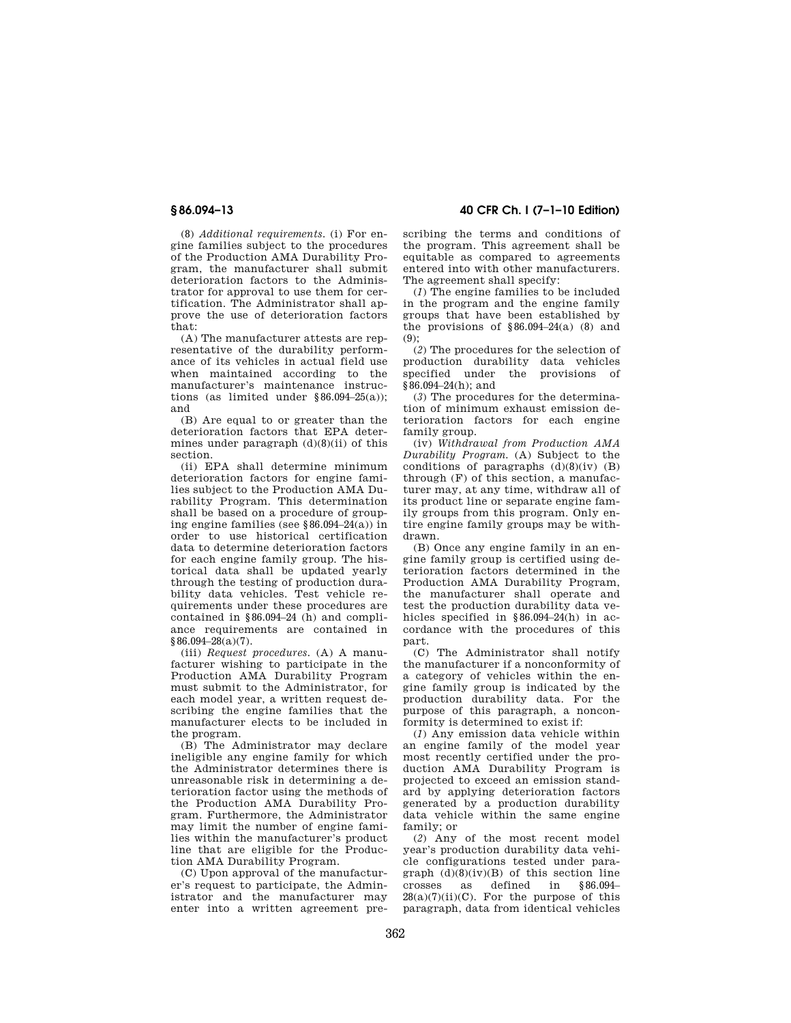**§ 86.094–13 40 CFR Ch. I (7–1–10 Edition)** 

(8) *Additional requirements.* (i) For engine families subject to the procedures of the Production AMA Durability Program, the manufacturer shall submit deterioration factors to the Administrator for approval to use them for certification. The Administrator shall approve the use of deterioration factors that:

(A) The manufacturer attests are representative of the durability performance of its vehicles in actual field use when maintained according to the manufacturer's maintenance instructions (as limited under §86.094–25(a)); and

(B) Are equal to or greater than the deterioration factors that EPA determines under paragraph  $(d)(8)(ii)$  of this section.

(ii) EPA shall determine minimum deterioration factors for engine families subject to the Production AMA Durability Program. This determination shall be based on a procedure of grouping engine families (see §86.094–24(a)) in order to use historical certification data to determine deterioration factors for each engine family group. The historical data shall be updated yearly through the testing of production durability data vehicles. Test vehicle requirements under these procedures are contained in §86.094–24 (h) and compliance requirements are contained in  $§86.094–28(a)(7)$ .

(iii) *Request procedures.* (A) A manufacturer wishing to participate in the Production AMA Durability Program must submit to the Administrator, for each model year, a written request describing the engine families that the manufacturer elects to be included in the program.

(B) The Administrator may declare ineligible any engine family for which the Administrator determines there is unreasonable risk in determining a deterioration factor using the methods of the Production AMA Durability Program. Furthermore, the Administrator may limit the number of engine families within the manufacturer's product line that are eligible for the Production AMA Durability Program.

(C) Upon approval of the manufacturer's request to participate, the Administrator and the manufacturer may enter into a written agreement prescribing the terms and conditions of the program. This agreement shall be equitable as compared to agreements entered into with other manufacturers. The agreement shall specify:

(*1*) The engine families to be included in the program and the engine family groups that have been established by the provisions of  $§86.094-24(a)$  (8) and  $(9)$ 

(*2*) The procedures for the selection of production durability data vehicles specified under the provisions of §86.094–24(h); and

(*3*) The procedures for the determination of minimum exhaust emission deterioration factors for each engine family group.

(iv) *Withdrawal from Production AMA Durability Program.* (A) Subject to the conditions of paragraphs  $(d)(8)(iv)$  (B) through (F) of this section, a manufacturer may, at any time, withdraw all of its product line or separate engine family groups from this program. Only entire engine family groups may be withdrawn.

(B) Once any engine family in an engine family group is certified using deterioration factors determined in the Production AMA Durability Program, the manufacturer shall operate and test the production durability data vehicles specified in §86.094–24(h) in accordance with the procedures of this part.

(C) The Administrator shall notify the manufacturer if a nonconformity of a category of vehicles within the engine family group is indicated by the production durability data. For the purpose of this paragraph, a nonconformity is determined to exist if:

(*1*) Any emission data vehicle within an engine family of the model year most recently certified under the production AMA Durability Program is projected to exceed an emission standard by applying deterioration factors generated by a production durability data vehicle within the same engine family; or

(*2*) Any of the most recent model year's production durability data vehicle configurations tested under paragraph  $(d)(8)(iv)(B)$  of this section line<br>crosses as defined in §86.094- $\frac{8}{8}$  crosses as defined in  $28(a)(7)(ii)(C)$ . For the purpose of this paragraph, data from identical vehicles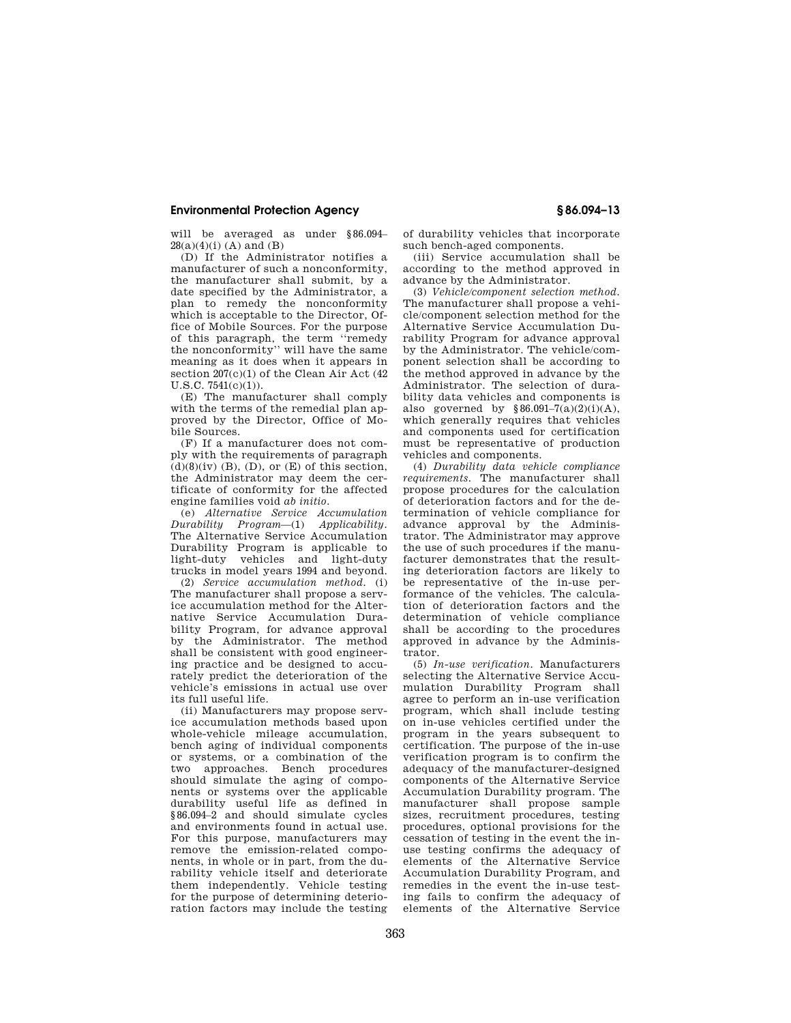will be averaged as under §86.094–  $28(a)(4)(i)$  (A) and (B)

(D) If the Administrator notifies a manufacturer of such a nonconformity, the manufacturer shall submit, by a date specified by the Administrator, a plan to remedy the nonconformity which is acceptable to the Director, Office of Mobile Sources. For the purpose of this paragraph, the term ''remedy the nonconformity'' will have the same meaning as it does when it appears in section  $207(c)(1)$  of the Clean Air Act (42 U.S.C. 7541(c)(1)).

(E) The manufacturer shall comply with the terms of the remedial plan approved by the Director, Office of Mobile Sources.

(F) If a manufacturer does not comply with the requirements of paragraph  $(d)(8)(iv)$  (B), (D), or (E) of this section, the Administrator may deem the certificate of conformity for the affected engine families void *ab initio.* 

(e) *Alternative Service Accumulation Durability Program*—(1) The Alternative Service Accumulation Durability Program is applicable to light-duty vehicles and light-duty trucks in model years 1994 and beyond.

(2) *Service accumulation method.* (i) The manufacturer shall propose a service accumulation method for the Alternative Service Accumulation Durability Program, for advance approval by the Administrator. The method shall be consistent with good engineering practice and be designed to accurately predict the deterioration of the vehicle's emissions in actual use over its full useful life.

(ii) Manufacturers may propose service accumulation methods based upon whole-vehicle mileage accumulation, bench aging of individual components or systems, or a combination of the two approaches. Bench procedures should simulate the aging of components or systems over the applicable durability useful life as defined in §86.094–2 and should simulate cycles and environments found in actual use. For this purpose, manufacturers may remove the emission-related components, in whole or in part, from the durability vehicle itself and deteriorate them independently. Vehicle testing for the purpose of determining deterioration factors may include the testing

of durability vehicles that incorporate such bench-aged components.

(iii) Service accumulation shall be according to the method approved in advance by the Administrator.

(3) *Vehicle/component selection method.*  The manufacturer shall propose a vehicle/component selection method for the Alternative Service Accumulation Durability Program for advance approval by the Administrator. The vehicle/component selection shall be according to the method approved in advance by the Administrator. The selection of durability data vehicles and components is also governed by  $§86.091-7(a)(2)(i)(A),$ which generally requires that vehicles and components used for certification must be representative of production vehicles and components.

(4) *Durability data vehicle compliance requirements.* The manufacturer shall propose procedures for the calculation of deterioration factors and for the determination of vehicle compliance for advance approval by the Administrator. The Administrator may approve the use of such procedures if the manufacturer demonstrates that the resulting deterioration factors are likely to be representative of the in-use performance of the vehicles. The calculation of deterioration factors and the determination of vehicle compliance shall be according to the procedures approved in advance by the Administrator.

(5) *In-use verification.* Manufacturers selecting the Alternative Service Accumulation Durability Program shall agree to perform an in-use verification program, which shall include testing on in-use vehicles certified under the program in the years subsequent to certification. The purpose of the in-use verification program is to confirm the adequacy of the manufacturer-designed components of the Alternative Service Accumulation Durability program. The manufacturer shall propose sample sizes, recruitment procedures, testing procedures, optional provisions for the cessation of testing in the event the inuse testing confirms the adequacy of elements of the Alternative Service Accumulation Durability Program, and remedies in the event the in-use testing fails to confirm the adequacy of elements of the Alternative Service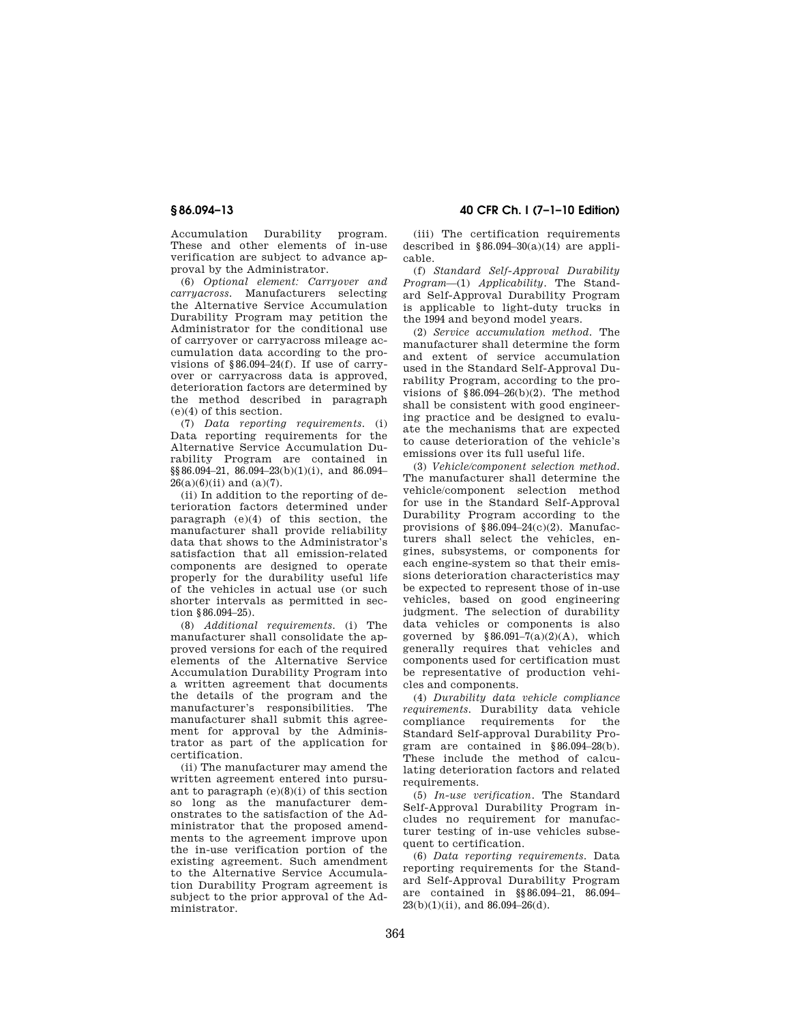Accumulation Durability program. These and other elements of in-use verification are subject to advance approval by the Administrator.

(6) *Optional element: Carryover and carryacross.* Manufacturers selecting the Alternative Service Accumulation Durability Program may petition the Administrator for the conditional use of carryover or carryacross mileage accumulation data according to the provisions of §86.094–24(f). If use of carryover or carryacross data is approved, deterioration factors are determined by the method described in paragraph (e)(4) of this section.

(7) *Data reporting requirements.* (i) Data reporting requirements for the Alternative Service Accumulation Durability Program are contained in  $\S$ §86.094–21, 86.094–23(b)(1)(i), and 86.094–  $26(a)(6)(ii)$  and  $(a)(7)$ .

(ii) In addition to the reporting of deterioration factors determined under paragraph (e)(4) of this section, the manufacturer shall provide reliability data that shows to the Administrator's satisfaction that all emission-related components are designed to operate properly for the durability useful life of the vehicles in actual use (or such shorter intervals as permitted in section §86.094–25).

(8) *Additional requirements.* (i) The manufacturer shall consolidate the approved versions for each of the required elements of the Alternative Service Accumulation Durability Program into a written agreement that documents the details of the program and the manufacturer's responsibilities. The manufacturer shall submit this agreement for approval by the Administrator as part of the application for certification.

(ii) The manufacturer may amend the written agreement entered into pursuant to paragraph  $(e)(8)(i)$  of this section so long as the manufacturer demonstrates to the satisfaction of the Administrator that the proposed amendments to the agreement improve upon the in-use verification portion of the existing agreement. Such amendment to the Alternative Service Accumulation Durability Program agreement is subject to the prior approval of the Administrator.

**§ 86.094–13 40 CFR Ch. I (7–1–10 Edition)** 

(iii) The certification requirements described in  $§86.094-30(a)(14)$  are applicable.

(f) *Standard Self-Approval Durability Program*—(1) *Applicability.* The Standard Self-Approval Durability Program is applicable to light-duty trucks in the 1994 and beyond model years.

(2) *Service accumulation method.* The manufacturer shall determine the form and extent of service accumulation used in the Standard Self-Approval Durability Program, according to the provisions of  $$86.094-26(b)(2)$ . The method shall be consistent with good engineering practice and be designed to evaluate the mechanisms that are expected to cause deterioration of the vehicle's emissions over its full useful life.

(3) *Vehicle/component selection method.*  The manufacturer shall determine the vehicle/component selection method for use in the Standard Self-Approval Durability Program according to the provisions of §86.094–24(c)(2). Manufacturers shall select the vehicles, engines, subsystems, or components for each engine-system so that their emissions deterioration characteristics may be expected to represent those of in-use vehicles, based on good engineering judgment. The selection of durability data vehicles or components is also governed by  $§86.091-7(a)(2)(A)$ , which generally requires that vehicles and components used for certification must be representative of production vehicles and components.

(4) *Durability data vehicle compliance requirements.* Durability data vehicle compliance requirements for the Standard Self-approval Durability Program are contained in §86.094–28(b). These include the method of calculating deterioration factors and related requirements

(5) *In-use verification.* The Standard Self-Approval Durability Program includes no requirement for manufacturer testing of in-use vehicles subsequent to certification.

(6) *Data reporting requirements.* Data reporting requirements for the Standard Self-Approval Durability Program are contained in §§86.094–21, 86.094–  $23(b)(1)(ii)$ , and  $86.094-26(d)$ .